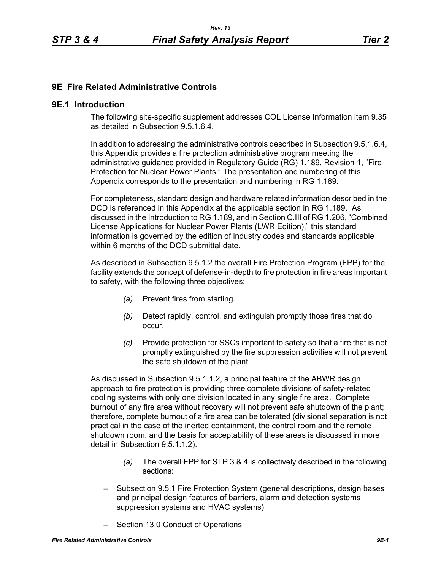## **9E Fire Related Administrative Controls**

#### **9E.1 Introduction**

The following site-specific supplement addresses COL License Information item 9.35 as detailed in Subsection 9.5.1.6.4.

In addition to addressing the administrative controls described in Subsection 9.5.1.6.4, this Appendix provides a fire protection administrative program meeting the administrative guidance provided in Regulatory Guide (RG) 1.189, Revision 1, "Fire Protection for Nuclear Power Plants." The presentation and numbering of this Appendix corresponds to the presentation and numbering in RG 1.189.

For completeness, standard design and hardware related information described in the DCD is referenced in this Appendix at the applicable section in RG 1.189. As discussed in the Introduction to RG 1.189, and in Section C.III of RG 1.206, "Combined License Applications for Nuclear Power Plants (LWR Edition)," this standard information is governed by the edition of industry codes and standards applicable within 6 months of the DCD submittal date.

As described in Subsection 9.5.1.2 the overall Fire Protection Program (FPP) for the facility extends the concept of defense-in-depth to fire protection in fire areas important to safety, with the following three objectives:

- *(a)* Prevent fires from starting.
- *(b)* Detect rapidly, control, and extinguish promptly those fires that do occur.
- *(c)* Provide protection for SSCs important to safety so that a fire that is not promptly extinguished by the fire suppression activities will not prevent the safe shutdown of the plant.

As discussed in Subsection 9.5.1.1.2, a principal feature of the ABWR design approach to fire protection is providing three complete divisions of safety-related cooling systems with only one division located in any single fire area. Complete burnout of any fire area without recovery will not prevent safe shutdown of the plant; therefore, complete burnout of a fire area can be tolerated (divisional separation is not practical in the case of the inerted containment, the control room and the remote shutdown room, and the basis for acceptability of these areas is discussed in more detail in Subsection 9.5.1.1.2).

- *(a)* The overall FPP for STP 3 & 4 is collectively described in the following sections:
- Subsection 9.5.1 Fire Protection System (general descriptions, design bases and principal design features of barriers, alarm and detection systems suppression systems and HVAC systems)
- Section 13.0 Conduct of Operations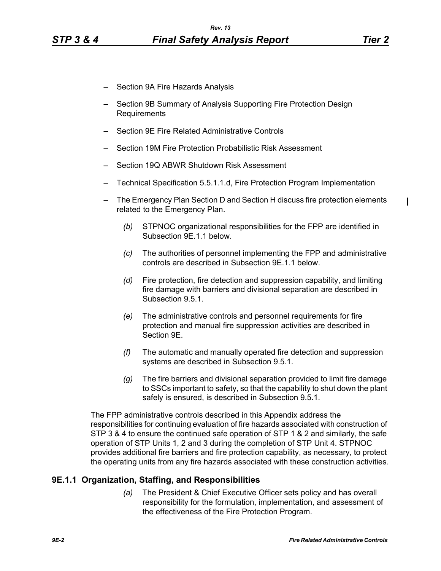$\blacksquare$ 

- Section 9A Fire Hazards Analysis
- Section 9B Summary of Analysis Supporting Fire Protection Design Requirements
- Section 9E Fire Related Administrative Controls
- Section 19M Fire Protection Probabilistic Risk Assessment
- Section 19Q ABWR Shutdown Risk Assessment
- Technical Specification 5.5.1.1.d, Fire Protection Program Implementation
- The Emergency Plan Section D and Section H discuss fire protection elements related to the Emergency Plan.
	- *(b)* STPNOC organizational responsibilities for the FPP are identified in Subsection 9E.1.1 below.
	- *(c)* The authorities of personnel implementing the FPP and administrative controls are described in Subsection 9E.1.1 below.
	- *(d)* Fire protection, fire detection and suppression capability, and limiting fire damage with barriers and divisional separation are described in Subsection 9.5.1.
	- *(e)* The administrative controls and personnel requirements for fire protection and manual fire suppression activities are described in Section 9E.
	- *(f)* The automatic and manually operated fire detection and suppression systems are described in Subsection 9.5.1.
	- *(g)* The fire barriers and divisional separation provided to limit fire damage to SSCs important to safety, so that the capability to shut down the plant safely is ensured, is described in Subsection 9.5.1.

The FPP administrative controls described in this Appendix address the responsibilities for continuing evaluation of fire hazards associated with construction of STP 3 & 4 to ensure the continued safe operation of STP 1 & 2 and similarly, the safe operation of STP Units 1, 2 and 3 during the completion of STP Unit 4. STPNOC provides additional fire barriers and fire protection capability, as necessary, to protect the operating units from any fire hazards associated with these construction activities.

### **9E.1.1 Organization, Staffing, and Responsibilities**

*(a)* The President & Chief Executive Officer sets policy and has overall responsibility for the formulation, implementation, and assessment of the effectiveness of the Fire Protection Program.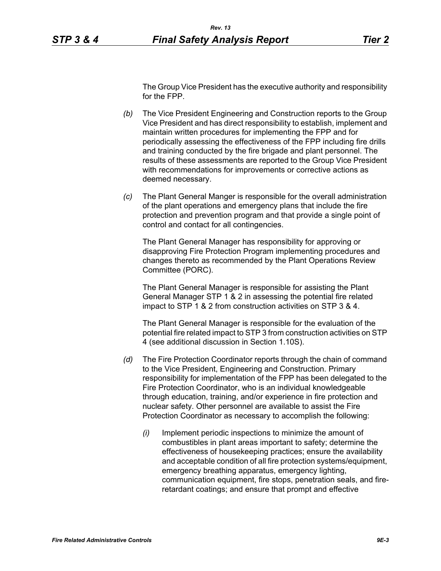The Group Vice President has the executive authority and responsibility for the FPP.

- *(b)* The Vice President Engineering and Construction reports to the Group Vice President and has direct responsibility to establish, implement and maintain written procedures for implementing the FPP and for periodically assessing the effectiveness of the FPP including fire drills and training conducted by the fire brigade and plant personnel. The results of these assessments are reported to the Group Vice President with recommendations for improvements or corrective actions as deemed necessary.
- *(c)* The Plant General Manger is responsible for the overall administration of the plant operations and emergency plans that include the fire protection and prevention program and that provide a single point of control and contact for all contingencies.

The Plant General Manager has responsibility for approving or disapproving Fire Protection Program implementing procedures and changes thereto as recommended by the Plant Operations Review Committee (PORC).

The Plant General Manager is responsible for assisting the Plant General Manager STP 1 & 2 in assessing the potential fire related impact to STP 1 & 2 from construction activities on STP 3 & 4.

The Plant General Manager is responsible for the evaluation of the potential fire related impact to STP 3 from construction activities on STP 4 (see additional discussion in Section 1.10S).

- *(d)* The Fire Protection Coordinator reports through the chain of command to the Vice President, Engineering and Construction. Primary responsibility for implementation of the FPP has been delegated to the Fire Protection Coordinator, who is an individual knowledgeable through education, training, and/or experience in fire protection and nuclear safety. Other personnel are available to assist the Fire Protection Coordinator as necessary to accomplish the following:
	- *(i)* Implement periodic inspections to minimize the amount of combustibles in plant areas important to safety; determine the effectiveness of housekeeping practices; ensure the availability and acceptable condition of all fire protection systems/equipment, emergency breathing apparatus, emergency lighting, communication equipment, fire stops, penetration seals, and fireretardant coatings; and ensure that prompt and effective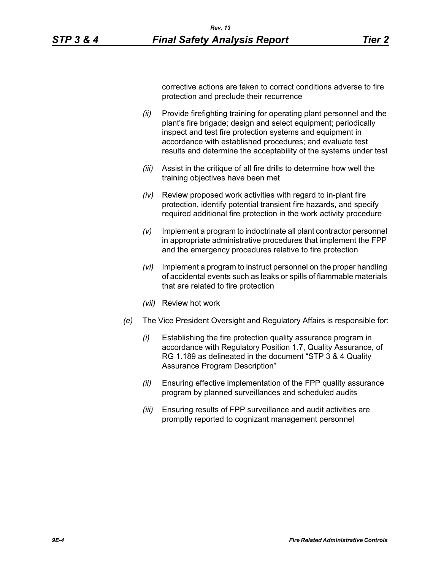corrective actions are taken to correct conditions adverse to fire protection and preclude their recurrence

- *(ii)* Provide firefighting training for operating plant personnel and the plant's fire brigade; design and select equipment; periodically inspect and test fire protection systems and equipment in accordance with established procedures; and evaluate test results and determine the acceptability of the systems under test
- *(iii)* Assist in the critique of all fire drills to determine how well the training objectives have been met
- *(iv)* Review proposed work activities with regard to in-plant fire protection, identify potential transient fire hazards, and specify required additional fire protection in the work activity procedure
- *(v)* Implement a program to indoctrinate all plant contractor personnel in appropriate administrative procedures that implement the FPP and the emergency procedures relative to fire protection
- *(vi)* Implement a program to instruct personnel on the proper handling of accidental events such as leaks or spills of flammable materials that are related to fire protection
- *(vii)* Review hot work
- *(e)* The Vice President Oversight and Regulatory Affairs is responsible for:
	- *(i)* Establishing the fire protection quality assurance program in accordance with Regulatory Position 1.7, Quality Assurance, of RG 1.189 as delineated in the document "STP 3 & 4 Quality Assurance Program Description"
	- *(ii)* Ensuring effective implementation of the FPP quality assurance program by planned surveillances and scheduled audits
	- *(iii)* Ensuring results of FPP surveillance and audit activities are promptly reported to cognizant management personnel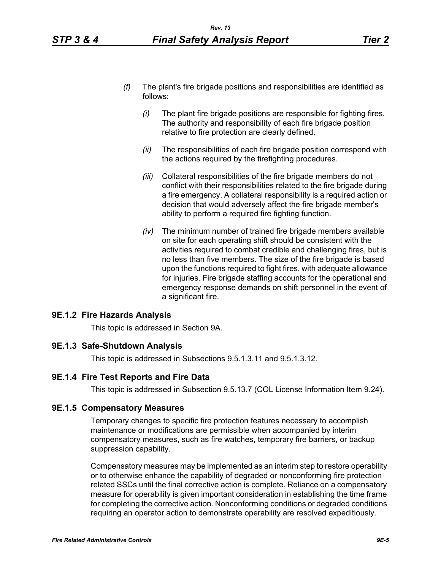- *(f)* The plant's fire brigade positions and responsibilities are identified as follows:
	- *(i)* The plant fire brigade positions are responsible for fighting fires. The authority and responsibility of each fire brigade position relative to fire protection are clearly defined.
	- *(ii)* The responsibilities of each fire brigade position correspond with the actions required by the firefighting procedures.
	- *(iii)* Collateral responsibilities of the fire brigade members do not conflict with their responsibilities related to the fire brigade during a fire emergency. A collateral responsibility is a required action or decision that would adversely affect the fire brigade member's ability to perform a required fire fighting function.
	- *(iv)* The minimum number of trained fire brigade members available on site for each operating shift should be consistent with the activities required to combat credible and challenging fires, but is no less than five members. The size of the fire brigade is based upon the functions required to fight fires, with adequate allowance for injuries. Fire brigade staffing accounts for the operational and emergency response demands on shift personnel in the event of a significant fire.

### **9E.1.2 Fire Hazards Analysis**

This topic is addressed in Section 9A.

#### **9E.1.3 Safe-Shutdown Analysis**

This topic is addressed in Subsections 9.5.1.3.11 and 9.5.1.3.12.

## **9E.1.4 Fire Test Reports and Fire Data**

This topic is addressed in Subsection 9.5.13.7 (COL License Information Item 9.24).

#### **9E.1.5 Compensatory Measures**

Temporary changes to specific fire protection features necessary to accomplish maintenance or modifications are permissible when accompanied by interim compensatory measures, such as fire watches, temporary fire barriers, or backup suppression capability.

Compensatory measures may be implemented as an interim step to restore operability or to otherwise enhance the capability of degraded or nonconforming fire protection related SSCs until the final corrective action is complete. Reliance on a compensatory measure for operability is given important consideration in establishing the time frame for completing the corrective action. Nonconforming conditions or degraded conditions requiring an operator action to demonstrate operability are resolved expeditiously.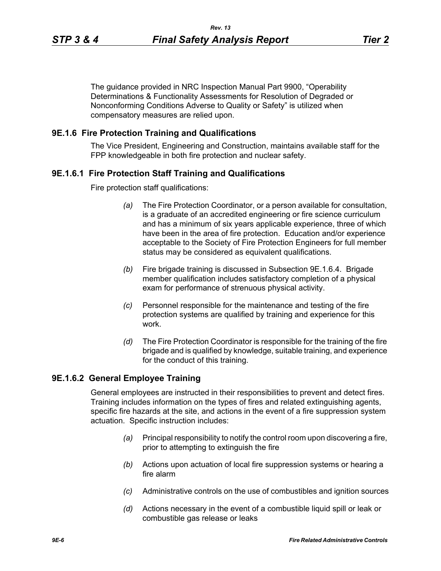The guidance provided in NRC Inspection Manual Part 9900, "Operability Determinations & Functionality Assessments for Resolution of Degraded or Nonconforming Conditions Adverse to Quality or Safety" is utilized when compensatory measures are relied upon.

### **9E.1.6 Fire Protection Training and Qualifications**

The Vice President, Engineering and Construction, maintains available staff for the FPP knowledgeable in both fire protection and nuclear safety.

### **9E.1.6.1 Fire Protection Staff Training and Qualifications**

Fire protection staff qualifications:

- *(a)* The Fire Protection Coordinator, or a person available for consultation, is a graduate of an accredited engineering or fire science curriculum and has a minimum of six years applicable experience, three of which have been in the area of fire protection. Education and/or experience acceptable to the Society of Fire Protection Engineers for full member status may be considered as equivalent qualifications.
- *(b)* Fire brigade training is discussed in Subsection 9E.1.6.4. Brigade member qualification includes satisfactory completion of a physical exam for performance of strenuous physical activity.
- *(c)* Personnel responsible for the maintenance and testing of the fire protection systems are qualified by training and experience for this work.
- *(d)* The Fire Protection Coordinator is responsible for the training of the fire brigade and is qualified by knowledge, suitable training, and experience for the conduct of this training.

### **9E.1.6.2 General Employee Training**

General employees are instructed in their responsibilities to prevent and detect fires. Training includes information on the types of fires and related extinguishing agents, specific fire hazards at the site, and actions in the event of a fire suppression system actuation. Specific instruction includes:

- *(a)* Principal responsibility to notify the control room upon discovering a fire, prior to attempting to extinguish the fire
- *(b)* Actions upon actuation of local fire suppression systems or hearing a fire alarm
- *(c)* Administrative controls on the use of combustibles and ignition sources
- *(d)* Actions necessary in the event of a combustible liquid spill or leak or combustible gas release or leaks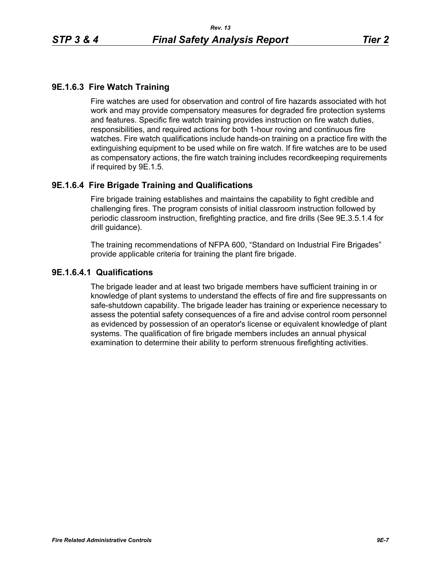# **9E.1.6.3 Fire Watch Training**

Fire watches are used for observation and control of fire hazards associated with hot work and may provide compensatory measures for degraded fire protection systems and features. Specific fire watch training provides instruction on fire watch duties, responsibilities, and required actions for both 1-hour roving and continuous fire watches. Fire watch qualifications include hands-on training on a practice fire with the extinguishing equipment to be used while on fire watch. If fire watches are to be used as compensatory actions, the fire watch training includes recordkeeping requirements if required by 9E.1.5.

## **9E.1.6.4 Fire Brigade Training and Qualifications**

Fire brigade training establishes and maintains the capability to fight credible and challenging fires. The program consists of initial classroom instruction followed by periodic classroom instruction, firefighting practice, and fire drills (See 9E.3.5.1.4 for drill guidance).

The training recommendations of NFPA 600, "Standard on Industrial Fire Brigades" provide applicable criteria for training the plant fire brigade.

### **9E.1.6.4.1 Qualifications**

The brigade leader and at least two brigade members have sufficient training in or knowledge of plant systems to understand the effects of fire and fire suppressants on safe-shutdown capability. The brigade leader has training or experience necessary to assess the potential safety consequences of a fire and advise control room personnel as evidenced by possession of an operator's license or equivalent knowledge of plant systems. The qualification of fire brigade members includes an annual physical examination to determine their ability to perform strenuous firefighting activities.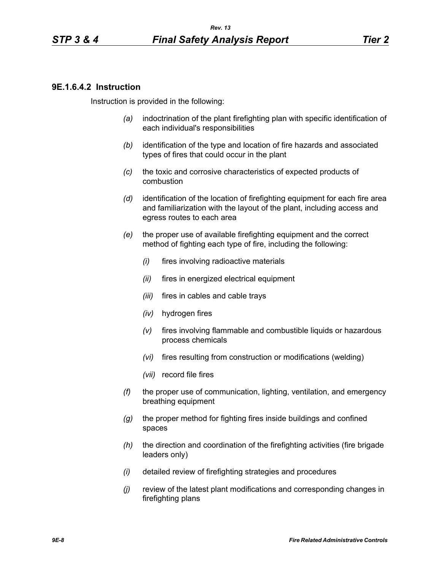### **9E.1.6.4.2 Instruction**

Instruction is provided in the following:

- *(a)* indoctrination of the plant firefighting plan with specific identification of each individual's responsibilities
- *(b)* identification of the type and location of fire hazards and associated types of fires that could occur in the plant
- *(c)* the toxic and corrosive characteristics of expected products of combustion
- *(d)* identification of the location of firefighting equipment for each fire area and familiarization with the layout of the plant, including access and egress routes to each area
- *(e)* the proper use of available firefighting equipment and the correct method of fighting each type of fire, including the following:
	- *(i)* fires involving radioactive materials
	- *(ii)* fires in energized electrical equipment
	- *(iii)* fires in cables and cable trays
	- *(iv)* hydrogen fires
	- *(v)* fires involving flammable and combustible liquids or hazardous process chemicals
	- *(vi)* fires resulting from construction or modifications (welding)
	- *(vii)* record file fires
- *(f)* the proper use of communication, lighting, ventilation, and emergency breathing equipment
- *(g)* the proper method for fighting fires inside buildings and confined spaces
- *(h)* the direction and coordination of the firefighting activities (fire brigade leaders only)
- *(i)* detailed review of firefighting strategies and procedures
- *(j)* review of the latest plant modifications and corresponding changes in firefighting plans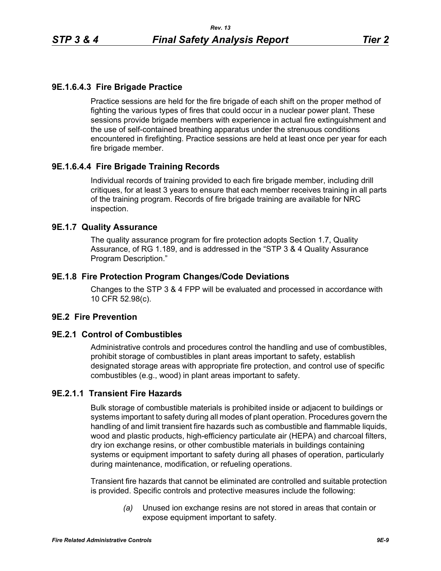# **9E.1.6.4.3 Fire Brigade Practice**

Practice sessions are held for the fire brigade of each shift on the proper method of fighting the various types of fires that could occur in a nuclear power plant. These sessions provide brigade members with experience in actual fire extinguishment and the use of self-contained breathing apparatus under the strenuous conditions encountered in firefighting. Practice sessions are held at least once per year for each fire brigade member.

## **9E.1.6.4.4 Fire Brigade Training Records**

Individual records of training provided to each fire brigade member, including drill critiques, for at least 3 years to ensure that each member receives training in all parts of the training program. Records of fire brigade training are available for NRC inspection.

#### **9E.1.7 Quality Assurance**

The quality assurance program for fire protection adopts Section 1.7, Quality Assurance, of RG 1.189, and is addressed in the "STP 3 & 4 Quality Assurance Program Description."

### **9E.1.8 Fire Protection Program Changes/Code Deviations**

Changes to the STP 3 & 4 FPP will be evaluated and processed in accordance with 10 CFR 52.98(c).

### **9E.2 Fire Prevention**

#### **9E.2.1 Control of Combustibles**

Administrative controls and procedures control the handling and use of combustibles, prohibit storage of combustibles in plant areas important to safety, establish designated storage areas with appropriate fire protection, and control use of specific combustibles (e.g., wood) in plant areas important to safety.

# **9E.2.1.1 Transient Fire Hazards**

Bulk storage of combustible materials is prohibited inside or adjacent to buildings or systems important to safety during all modes of plant operation. Procedures govern the handling of and limit transient fire hazards such as combustible and flammable liquids, wood and plastic products, high-efficiency particulate air (HEPA) and charcoal filters, dry ion exchange resins, or other combustible materials in buildings containing systems or equipment important to safety during all phases of operation, particularly during maintenance, modification, or refueling operations.

Transient fire hazards that cannot be eliminated are controlled and suitable protection is provided. Specific controls and protective measures include the following:

> *(a)* Unused ion exchange resins are not stored in areas that contain or expose equipment important to safety.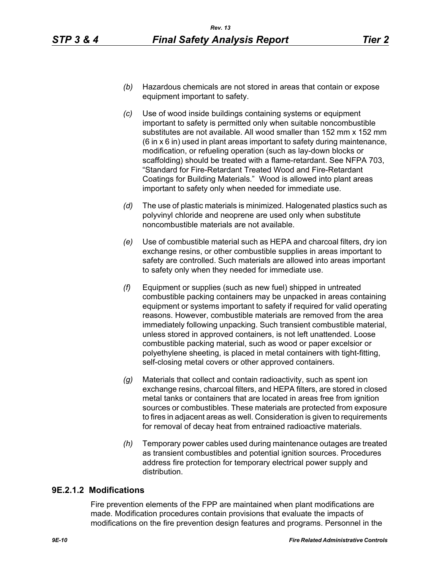- *(b)* Hazardous chemicals are not stored in areas that contain or expose equipment important to safety.
- *(c)* Use of wood inside buildings containing systems or equipment important to safety is permitted only when suitable noncombustible substitutes are not available. All wood smaller than 152 mm x 152 mm (6 in x 6 in) used in plant areas important to safety during maintenance, modification, or refueling operation (such as lay-down blocks or scaffolding) should be treated with a flame-retardant. See NFPA 703, "Standard for Fire-Retardant Treated Wood and Fire-Retardant Coatings for Building Materials." Wood is allowed into plant areas important to safety only when needed for immediate use.
- *(d)* The use of plastic materials is minimized. Halogenated plastics such as polyvinyl chloride and neoprene are used only when substitute noncombustible materials are not available.
- *(e)* Use of combustible material such as HEPA and charcoal filters, dry ion exchange resins, or other combustible supplies in areas important to safety are controlled. Such materials are allowed into areas important to safety only when they needed for immediate use.
- *(f)* Equipment or supplies (such as new fuel) shipped in untreated combustible packing containers may be unpacked in areas containing equipment or systems important to safety if required for valid operating reasons. However, combustible materials are removed from the area immediately following unpacking. Such transient combustible material, unless stored in approved containers, is not left unattended. Loose combustible packing material, such as wood or paper excelsior or polyethylene sheeting, is placed in metal containers with tight-fitting, self-closing metal covers or other approved containers.
- *(g)* Materials that collect and contain radioactivity, such as spent ion exchange resins, charcoal filters, and HEPA filters, are stored in closed metal tanks or containers that are located in areas free from ignition sources or combustibles. These materials are protected from exposure to fires in adjacent areas as well. Consideration is given to requirements for removal of decay heat from entrained radioactive materials.
- *(h)* Temporary power cables used during maintenance outages are treated as transient combustibles and potential ignition sources. Procedures address fire protection for temporary electrical power supply and distribution.

### **9E.2.1.2 Modifications**

Fire prevention elements of the FPP are maintained when plant modifications are made. Modification procedures contain provisions that evaluate the impacts of modifications on the fire prevention design features and programs. Personnel in the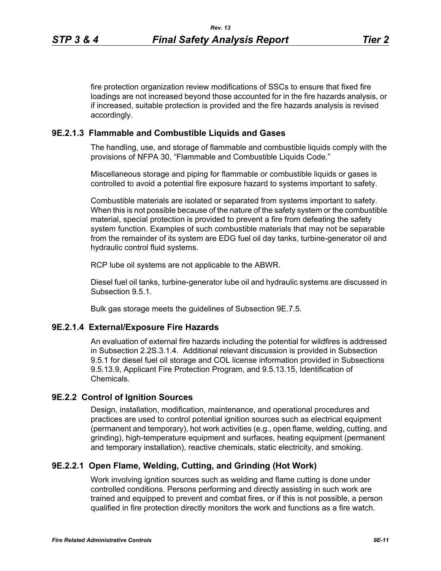fire protection organization review modifications of SSCs to ensure that fixed fire loadings are not increased beyond those accounted for in the fire hazards analysis, or if increased, suitable protection is provided and the fire hazards analysis is revised accordingly.

#### **9E.2.1.3 Flammable and Combustible Liquids and Gases**

The handling, use, and storage of flammable and combustible liquids comply with the provisions of NFPA 30, "Flammable and Combustible Liquids Code."

Miscellaneous storage and piping for flammable or combustible liquids or gases is controlled to avoid a potential fire exposure hazard to systems important to safety.

Combustible materials are isolated or separated from systems important to safety. When this is not possible because of the nature of the safety system or the combustible material, special protection is provided to prevent a fire from defeating the safety system function. Examples of such combustible materials that may not be separable from the remainder of its system are EDG fuel oil day tanks, turbine-generator oil and hydraulic control fluid systems.

RCP lube oil systems are not applicable to the ABWR.

Diesel fuel oil tanks, turbine-generator lube oil and hydraulic systems are discussed in Subsection 9.5.1.

Bulk gas storage meets the guidelines of Subsection 9E.7.5.

#### **9E.2.1.4 External/Exposure Fire Hazards**

An evaluation of external fire hazards including the potential for wildfires is addressed in Subsection 2.2S.3.1.4. Additional relevant discussion is provided in Subsection 9.5.1 for diesel fuel oil storage and COL license information provided in Subsections 9.5.13.9, Applicant Fire Protection Program, and 9.5.13.15, Identification of Chemicals.

#### **9E.2.2 Control of Ignition Sources**

Design, installation, modification, maintenance, and operational procedures and practices are used to control potential ignition sources such as electrical equipment (permanent and temporary), hot work activities (e.g., open flame, welding, cutting, and grinding), high-temperature equipment and surfaces, heating equipment (permanent and temporary installation), reactive chemicals, static electricity, and smoking.

## **9E.2.2.1 Open Flame, Welding, Cutting, and Grinding (Hot Work)**

Work involving ignition sources such as welding and flame cutting is done under controlled conditions. Persons performing and directly assisting in such work are trained and equipped to prevent and combat fires, or if this is not possible, a person qualified in fire protection directly monitors the work and functions as a fire watch.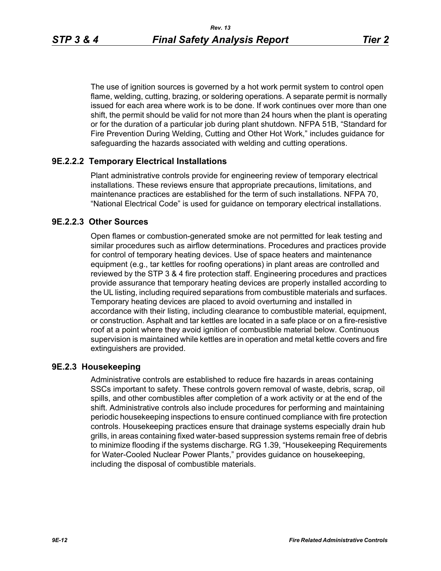The use of ignition sources is governed by a hot work permit system to control open flame, welding, cutting, brazing, or soldering operations. A separate permit is normally issued for each area where work is to be done. If work continues over more than one shift, the permit should be valid for not more than 24 hours when the plant is operating or for the duration of a particular job during plant shutdown. NFPA 51B, "Standard for Fire Prevention During Welding, Cutting and Other Hot Work," includes guidance for safeguarding the hazards associated with welding and cutting operations.

### **9E.2.2.2 Temporary Electrical Installations**

Plant administrative controls provide for engineering review of temporary electrical installations. These reviews ensure that appropriate precautions, limitations, and maintenance practices are established for the term of such installations. NFPA 70, "National Electrical Code" is used for guidance on temporary electrical installations.

## **9E.2.2.3 Other Sources**

Open flames or combustion-generated smoke are not permitted for leak testing and similar procedures such as airflow determinations. Procedures and practices provide for control of temporary heating devices. Use of space heaters and maintenance equipment (e.g., tar kettles for roofing operations) in plant areas are controlled and reviewed by the STP 3 & 4 fire protection staff. Engineering procedures and practices provide assurance that temporary heating devices are properly installed according to the UL listing, including required separations from combustible materials and surfaces. Temporary heating devices are placed to avoid overturning and installed in accordance with their listing, including clearance to combustible material, equipment, or construction. Asphalt and tar kettles are located in a safe place or on a fire-resistive roof at a point where they avoid ignition of combustible material below. Continuous supervision is maintained while kettles are in operation and metal kettle covers and fire extinguishers are provided.

### **9E.2.3 Housekeeping**

Administrative controls are established to reduce fire hazards in areas containing SSCs important to safety. These controls govern removal of waste, debris, scrap, oil spills, and other combustibles after completion of a work activity or at the end of the shift. Administrative controls also include procedures for performing and maintaining periodic housekeeping inspections to ensure continued compliance with fire protection controls. Housekeeping practices ensure that drainage systems especially drain hub grills, in areas containing fixed water-based suppression systems remain free of debris to minimize flooding if the systems discharge. RG 1.39, "Housekeeping Requirements for Water-Cooled Nuclear Power Plants," provides guidance on housekeeping, including the disposal of combustible materials.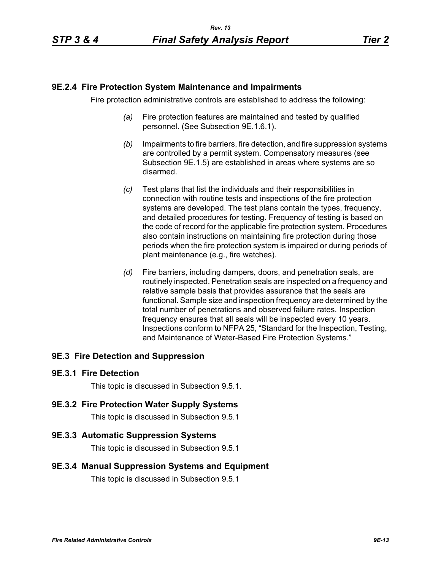## **9E.2.4 Fire Protection System Maintenance and Impairments**

Fire protection administrative controls are established to address the following:

- *(a)* Fire protection features are maintained and tested by qualified personnel. (See Subsection 9E.1.6.1).
- *(b)* Impairments to fire barriers, fire detection, and fire suppression systems are controlled by a permit system. Compensatory measures (see Subsection 9E.1.5) are established in areas where systems are so disarmed.
- *(c)* Test plans that list the individuals and their responsibilities in connection with routine tests and inspections of the fire protection systems are developed. The test plans contain the types, frequency, and detailed procedures for testing. Frequency of testing is based on the code of record for the applicable fire protection system. Procedures also contain instructions on maintaining fire protection during those periods when the fire protection system is impaired or during periods of plant maintenance (e.g., fire watches).
- *(d)* Fire barriers, including dampers, doors, and penetration seals, are routinely inspected. Penetration seals are inspected on a frequency and relative sample basis that provides assurance that the seals are functional. Sample size and inspection frequency are determined by the total number of penetrations and observed failure rates. Inspection frequency ensures that all seals will be inspected every 10 years. Inspections conform to NFPA 25, "Standard for the Inspection, Testing, and Maintenance of Water-Based Fire Protection Systems."

# **9E.3 Fire Detection and Suppression**

### **9E.3.1 Fire Detection**

This topic is discussed in Subsection 9.5.1.

### **9E.3.2 Fire Protection Water Supply Systems**

This topic is discussed in Subsection 9.5.1

### **9E.3.3 Automatic Suppression Systems**

This topic is discussed in Subsection 9.5.1

### **9E.3.4 Manual Suppression Systems and Equipment**

This topic is discussed in Subsection 9.5.1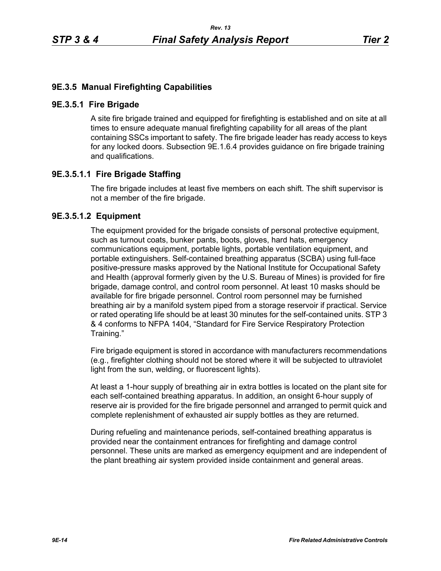# **9E.3.5 Manual Firefighting Capabilities**

### **9E.3.5.1 Fire Brigade**

A site fire brigade trained and equipped for firefighting is established and on site at all times to ensure adequate manual firefighting capability for all areas of the plant containing SSCs important to safety. The fire brigade leader has ready access to keys for any locked doors. Subsection 9E.1.6.4 provides guidance on fire brigade training and qualifications.

# **9E.3.5.1.1 Fire Brigade Staffing**

The fire brigade includes at least five members on each shift. The shift supervisor is not a member of the fire brigade.

# **9E.3.5.1.2 Equipment**

The equipment provided for the brigade consists of personal protective equipment, such as turnout coats, bunker pants, boots, gloves, hard hats, emergency communications equipment, portable lights, portable ventilation equipment, and portable extinguishers. Self-contained breathing apparatus (SCBA) using full-face positive-pressure masks approved by the National Institute for Occupational Safety and Health (approval formerly given by the U.S. Bureau of Mines) is provided for fire brigade, damage control, and control room personnel. At least 10 masks should be available for fire brigade personnel. Control room personnel may be furnished breathing air by a manifold system piped from a storage reservoir if practical. Service or rated operating life should be at least 30 minutes for the self-contained units. STP 3 & 4 conforms to NFPA 1404, "Standard for Fire Service Respiratory Protection Training."

Fire brigade equipment is stored in accordance with manufacturers recommendations (e.g., firefighter clothing should not be stored where it will be subjected to ultraviolet light from the sun, welding, or fluorescent lights).

At least a 1-hour supply of breathing air in extra bottles is located on the plant site for each self-contained breathing apparatus. In addition, an onsight 6-hour supply of reserve air is provided for the fire brigade personnel and arranged to permit quick and complete replenishment of exhausted air supply bottles as they are returned.

During refueling and maintenance periods, self-contained breathing apparatus is provided near the containment entrances for firefighting and damage control personnel. These units are marked as emergency equipment and are independent of the plant breathing air system provided inside containment and general areas.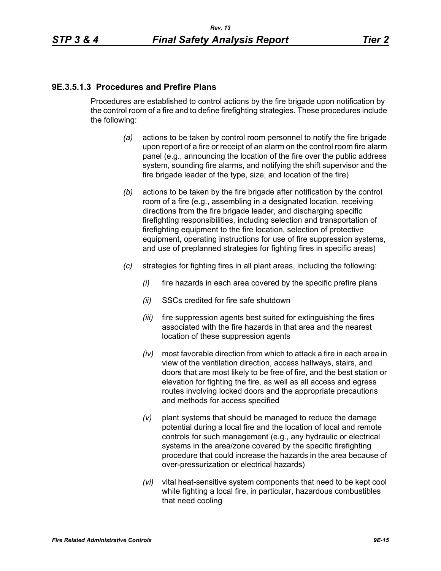## **9E.3.5.1.3 Procedures and Prefire Plans**

Procedures are established to control actions by the fire brigade upon notification by the control room of a fire and to define firefighting strategies. These procedures include the following:

- *(a)* actions to be taken by control room personnel to notify the fire brigade upon report of a fire or receipt of an alarm on the control room fire alarm panel (e.g., announcing the location of the fire over the public address system, sounding fire alarms, and notifying the shift supervisor and the fire brigade leader of the type, size, and location of the fire)
- *(b)* actions to be taken by the fire brigade after notification by the control room of a fire (e.g., assembling in a designated location, receiving directions from the fire brigade leader, and discharging specific firefighting responsibilities, including selection and transportation of firefighting equipment to the fire location, selection of protective equipment, operating instructions for use of fire suppression systems, and use of preplanned strategies for fighting fires in specific areas)
- *(c)* strategies for fighting fires in all plant areas, including the following:
	- *(i)* fire hazards in each area covered by the specific prefire plans
	- *(ii)* SSCs credited for fire safe shutdown
	- *(iii)* fire suppression agents best suited for extinguishing the fires associated with the fire hazards in that area and the nearest location of these suppression agents
	- *(iv)* most favorable direction from which to attack a fire in each area in view of the ventilation direction, access hallways, stairs, and doors that are most likely to be free of fire, and the best station or elevation for fighting the fire, as well as all access and egress routes involving locked doors and the appropriate precautions and methods for access specified
	- *(v)* plant systems that should be managed to reduce the damage potential during a local fire and the location of local and remote controls for such management (e.g., any hydraulic or electrical systems in the area/zone covered by the specific firefighting procedure that could increase the hazards in the area because of over-pressurization or electrical hazards)
	- *(vi)* vital heat-sensitive system components that need to be kept cool while fighting a local fire, in particular, hazardous combustibles that need cooling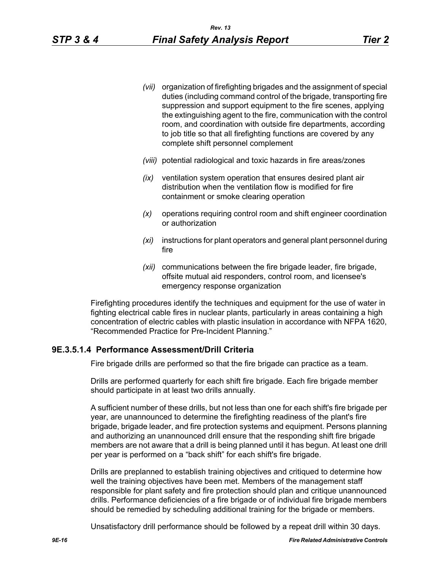- *(vii)* organization of firefighting brigades and the assignment of special duties (including command control of the brigade, transporting fire suppression and support equipment to the fire scenes, applying the extinguishing agent to the fire, communication with the control room, and coordination with outside fire departments, according to job title so that all firefighting functions are covered by any complete shift personnel complement
- *(viii)* potential radiological and toxic hazards in fire areas/zones
- *(ix)* ventilation system operation that ensures desired plant air distribution when the ventilation flow is modified for fire containment or smoke clearing operation
- *(x)* operations requiring control room and shift engineer coordination or authorization
- *(xi)* instructions for plant operators and general plant personnel during fire
- *(xii)* communications between the fire brigade leader, fire brigade, offsite mutual aid responders, control room, and licensee's emergency response organization

Firefighting procedures identify the techniques and equipment for the use of water in fighting electrical cable fires in nuclear plants, particularly in areas containing a high concentration of electric cables with plastic insulation in accordance with NFPA 1620, "Recommended Practice for Pre-Incident Planning."

### **9E.3.5.1.4 Performance Assessment/Drill Criteria**

Fire brigade drills are performed so that the fire brigade can practice as a team.

Drills are performed quarterly for each shift fire brigade. Each fire brigade member should participate in at least two drills annually.

A sufficient number of these drills, but not less than one for each shift's fire brigade per year, are unannounced to determine the firefighting readiness of the plant's fire brigade, brigade leader, and fire protection systems and equipment. Persons planning and authorizing an unannounced drill ensure that the responding shift fire brigade members are not aware that a drill is being planned until it has begun. At least one drill per year is performed on a "back shift" for each shift's fire brigade.

Drills are preplanned to establish training objectives and critiqued to determine how well the training objectives have been met. Members of the management staff responsible for plant safety and fire protection should plan and critique unannounced drills. Performance deficiencies of a fire brigade or of individual fire brigade members should be remedied by scheduling additional training for the brigade or members.

Unsatisfactory drill performance should be followed by a repeat drill within 30 days.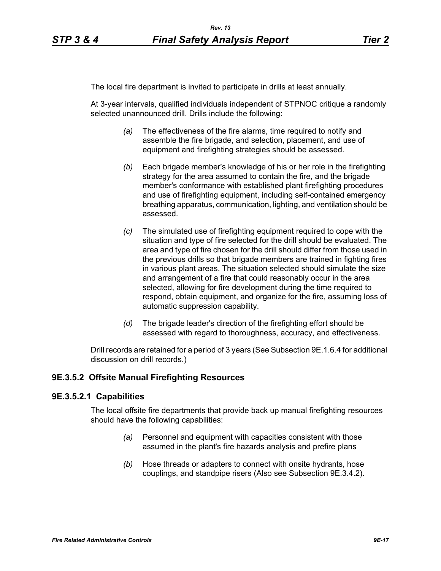The local fire department is invited to participate in drills at least annually.

At 3-year intervals, qualified individuals independent of STPNOC critique a randomly selected unannounced drill. Drills include the following:

- *(a)* The effectiveness of the fire alarms, time required to notify and assemble the fire brigade, and selection, placement, and use of equipment and firefighting strategies should be assessed.
- *(b)* Each brigade member's knowledge of his or her role in the firefighting strategy for the area assumed to contain the fire, and the brigade member's conformance with established plant firefighting procedures and use of firefighting equipment, including self-contained emergency breathing apparatus, communication, lighting, and ventilation should be assessed.
- *(c)* The simulated use of firefighting equipment required to cope with the situation and type of fire selected for the drill should be evaluated. The area and type of fire chosen for the drill should differ from those used in the previous drills so that brigade members are trained in fighting fires in various plant areas. The situation selected should simulate the size and arrangement of a fire that could reasonably occur in the area selected, allowing for fire development during the time required to respond, obtain equipment, and organize for the fire, assuming loss of automatic suppression capability.
- *(d)* The brigade leader's direction of the firefighting effort should be assessed with regard to thoroughness, accuracy, and effectiveness.

Drill records are retained for a period of 3 years (See Subsection 9E.1.6.4 for additional discussion on drill records.)

## **9E.3.5.2 Offsite Manual Firefighting Resources**

#### **9E.3.5.2.1 Capabilities**

The local offsite fire departments that provide back up manual firefighting resources should have the following capabilities:

- *(a)* Personnel and equipment with capacities consistent with those assumed in the plant's fire hazards analysis and prefire plans
- *(b)* Hose threads or adapters to connect with onsite hydrants, hose couplings, and standpipe risers (Also see Subsection 9E.3.4.2).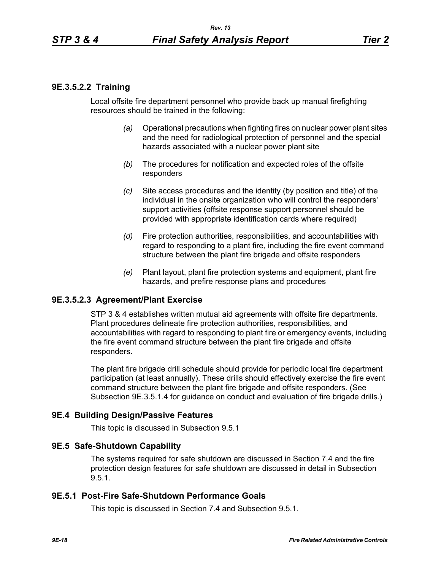# **9E.3.5.2.2 Training**

Local offsite fire department personnel who provide back up manual firefighting resources should be trained in the following:

- *(a)* Operational precautions when fighting fires on nuclear power plant sites and the need for radiological protection of personnel and the special hazards associated with a nuclear power plant site
- *(b)* The procedures for notification and expected roles of the offsite responders
- *(c)* Site access procedures and the identity (by position and title) of the individual in the onsite organization who will control the responders' support activities (offsite response support personnel should be provided with appropriate identification cards where required)
- *(d)* Fire protection authorities, responsibilities, and accountabilities with regard to responding to a plant fire, including the fire event command structure between the plant fire brigade and offsite responders
- *(e)* Plant layout, plant fire protection systems and equipment, plant fire hazards, and prefire response plans and procedures

### **9E.3.5.2.3 Agreement/Plant Exercise**

STP 3 & 4 establishes written mutual aid agreements with offsite fire departments. Plant procedures delineate fire protection authorities, responsibilities, and accountabilities with regard to responding to plant fire or emergency events, including the fire event command structure between the plant fire brigade and offsite responders.

The plant fire brigade drill schedule should provide for periodic local fire department participation (at least annually). These drills should effectively exercise the fire event command structure between the plant fire brigade and offsite responders. (See Subsection 9E.3.5.1.4 for guidance on conduct and evaluation of fire brigade drills.)

#### **9E.4 Building Design/Passive Features**

This topic is discussed in Subsection 9.5.1

#### **9E.5 Safe-Shutdown Capability**

The systems required for safe shutdown are discussed in Section 7.4 and the fire protection design features for safe shutdown are discussed in detail in Subsection 9.5.1.

#### **9E.5.1 Post-Fire Safe-Shutdown Performance Goals**

This topic is discussed in Section 7.4 and Subsection 9.5.1.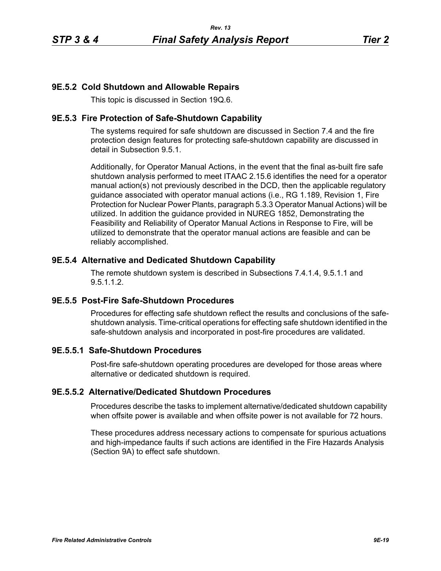## **9E.5.2 Cold Shutdown and Allowable Repairs**

This topic is discussed in Section 19Q.6.

### **9E.5.3 Fire Protection of Safe-Shutdown Capability**

The systems required for safe shutdown are discussed in Section 7.4 and the fire protection design features for protecting safe-shutdown capability are discussed in detail in Subsection 9.5.1.

Additionally, for Operator Manual Actions, in the event that the final as-built fire safe shutdown analysis performed to meet ITAAC 2.15.6 identifies the need for a operator manual action(s) not previously described in the DCD, then the applicable regulatory guidance associated with operator manual actions (i.e., RG 1.189, Revision 1, Fire Protection for Nuclear Power Plants, paragraph 5.3.3 Operator Manual Actions) will be utilized. In addition the guidance provided in NUREG 1852, Demonstrating the Feasibility and Reliability of Operator Manual Actions in Response to Fire, will be utilized to demonstrate that the operator manual actions are feasible and can be reliably accomplished.

### **9E.5.4 Alternative and Dedicated Shutdown Capability**

The remote shutdown system is described in Subsections 7.4.1.4, 9.5.1.1 and 9.5.1.1.2.

### **9E.5.5 Post-Fire Safe-Shutdown Procedures**

Procedures for effecting safe shutdown reflect the results and conclusions of the safeshutdown analysis. Time-critical operations for effecting safe shutdown identified in the safe-shutdown analysis and incorporated in post-fire procedures are validated.

# **9E.5.5.1 Safe-Shutdown Procedures**

Post-fire safe-shutdown operating procedures are developed for those areas where alternative or dedicated shutdown is required.

### **9E.5.5.2 Alternative/Dedicated Shutdown Procedures**

Procedures describe the tasks to implement alternative/dedicated shutdown capability when offsite power is available and when offsite power is not available for 72 hours.

These procedures address necessary actions to compensate for spurious actuations and high-impedance faults if such actions are identified in the Fire Hazards Analysis (Section 9A) to effect safe shutdown.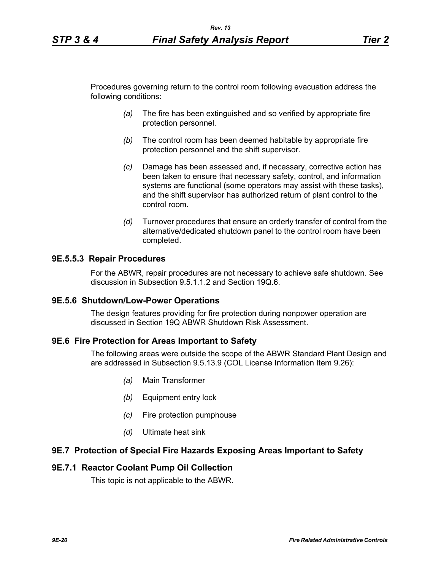Procedures governing return to the control room following evacuation address the following conditions:

- *(a)* The fire has been extinguished and so verified by appropriate fire protection personnel.
- *(b)* The control room has been deemed habitable by appropriate fire protection personnel and the shift supervisor.
- *(c)* Damage has been assessed and, if necessary, corrective action has been taken to ensure that necessary safety, control, and information systems are functional (some operators may assist with these tasks), and the shift supervisor has authorized return of plant control to the control room.
- *(d)* Turnover procedures that ensure an orderly transfer of control from the alternative/dedicated shutdown panel to the control room have been completed.

#### **9E.5.5.3 Repair Procedures**

For the ABWR, repair procedures are not necessary to achieve safe shutdown. See discussion in Subsection 9.5.1.1.2 and Section 19Q.6.

#### **9E.5.6 Shutdown/Low-Power Operations**

The design features providing for fire protection during nonpower operation are discussed in Section 19Q ABWR Shutdown Risk Assessment.

#### **9E.6 Fire Protection for Areas Important to Safety**

The following areas were outside the scope of the ABWR Standard Plant Design and are addressed in Subsection 9.5.13.9 (COL License Information Item 9.26):

- *(a)* Main Transformer
- *(b)* Equipment entry lock
- *(c)* Fire protection pumphouse
- *(d)* Ultimate heat sink

### **9E.7 Protection of Special Fire Hazards Exposing Areas Important to Safety**

#### **9E.7.1 Reactor Coolant Pump Oil Collection**

This topic is not applicable to the ABWR.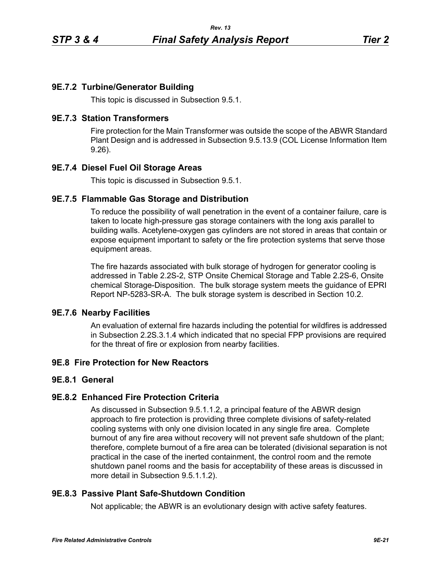# **9E.7.2 Turbine/Generator Building**

This topic is discussed in Subsection 9.5.1.

### **9E.7.3 Station Transformers**

Fire protection for the Main Transformer was outside the scope of the ABWR Standard Plant Design and is addressed in Subsection 9.5.13.9 (COL License Information Item 9.26).

# **9E.7.4 Diesel Fuel Oil Storage Areas**

This topic is discussed in Subsection 9.5.1.

## **9E.7.5 Flammable Gas Storage and Distribution**

To reduce the possibility of wall penetration in the event of a container failure, care is taken to locate high-pressure gas storage containers with the long axis parallel to building walls. Acetylene-oxygen gas cylinders are not stored in areas that contain or expose equipment important to safety or the fire protection systems that serve those equipment areas.

The fire hazards associated with bulk storage of hydrogen for generator cooling is addressed in Table 2.2S-2, STP Onsite Chemical Storage and Table 2.2S-6, Onsite chemical Storage-Disposition. The bulk storage system meets the guidance of EPRI Report NP-5283-SR-A. The bulk storage system is described in Section 10.2.

### **9E.7.6 Nearby Facilities**

An evaluation of external fire hazards including the potential for wildfires is addressed in Subsection 2.2S.3.1.4 which indicated that no special FPP provisions are required for the threat of fire or explosion from nearby facilities.

# **9E.8 Fire Protection for New Reactors**

### **9E.8.1 General**

### **9E.8.2 Enhanced Fire Protection Criteria**

As discussed in Subsection 9.5.1.1.2, a principal feature of the ABWR design approach to fire protection is providing three complete divisions of safety-related cooling systems with only one division located in any single fire area. Complete burnout of any fire area without recovery will not prevent safe shutdown of the plant; therefore, complete burnout of a fire area can be tolerated (divisional separation is not practical in the case of the inerted containment, the control room and the remote shutdown panel rooms and the basis for acceptability of these areas is discussed in more detail in Subsection 9.5.1.1.2).

# **9E.8.3 Passive Plant Safe-Shutdown Condition**

Not applicable; the ABWR is an evolutionary design with active safety features.